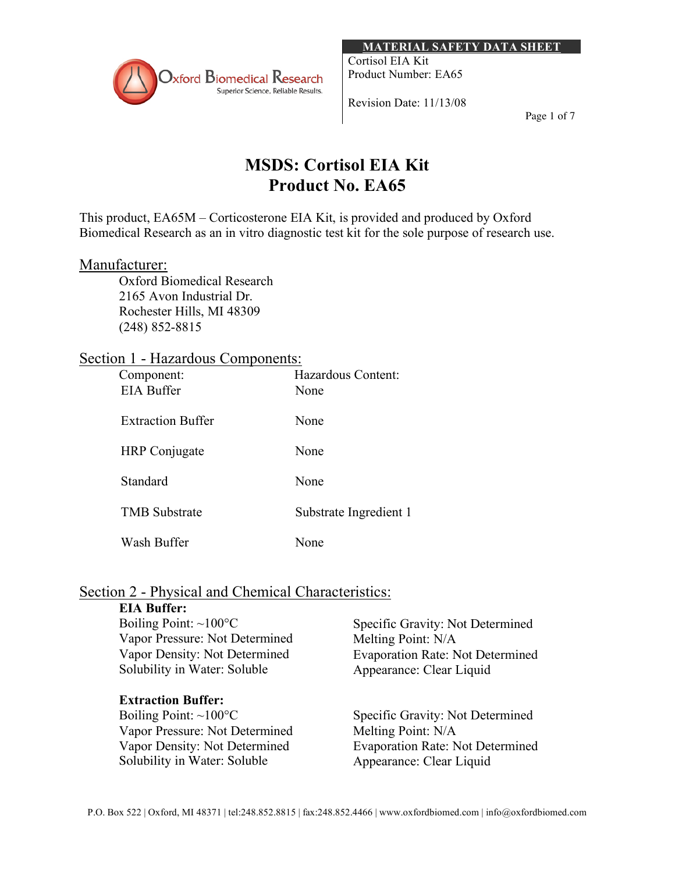

**MATERIAL SAFETY DATA SHEET**

Cortisol EIA Kit Product Number: EA65

Revision Date: 11/13/08

Page 1 of 7

# **MSDS: Cortisol EIA Kit Product No. EA65**

This product, EA65M – Corticosterone EIA Kit, is provided and produced by Oxford Biomedical Research as an in vitro diagnostic test kit for the sole purpose of research use.

#### Manufacturer:

Oxford Biomedical Research 2165 Avon Industrial Dr. Rochester Hills, MI 48309 (248) 852-8815

## Section 1 - Hazardous Components:

| Component:               | Hazardous Content:     |
|--------------------------|------------------------|
| <b>EIA Buffer</b>        | None                   |
| <b>Extraction Buffer</b> | None                   |
| <b>HRP</b> Conjugate     | None                   |
| Standard                 | None                   |
| <b>TMB</b> Substrate     | Substrate Ingredient 1 |
| Wash Buffer              | None                   |

# Section 2 - Physical and Chemical Characteristics:

## **EIA Buffer:**

| Boiling Point: $\sim 100^{\circ}$ C | Specific Gravity: Not Determined        |
|-------------------------------------|-----------------------------------------|
| Vapor Pressure: Not Determined      | Melting Point: N/A                      |
| Vapor Density: Not Determined       | <b>Evaporation Rate: Not Determined</b> |
| Solubility in Water: Soluble        | Appearance: Clear Liquid                |

## **Extraction Buffer:**

Boiling Point: ~100°C Vapor Pressure: Not Determined Vapor Density: Not Determined Solubility in Water: Soluble

Specific Gravity: Not Determined Melting Point: N/A Evaporation Rate: Not Determined Appearance: Clear Liquid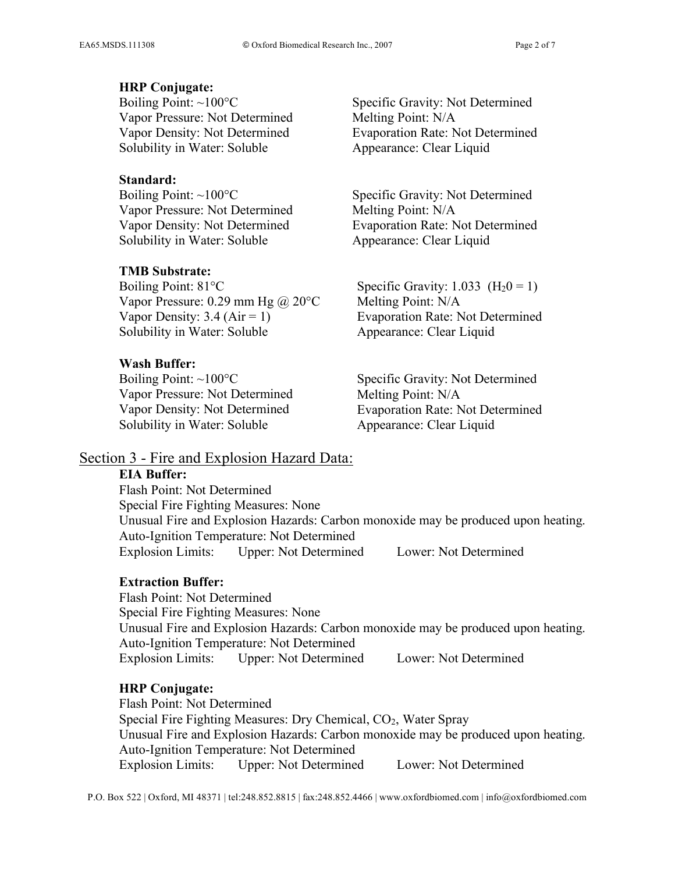#### **HRP Conjugate:**

Boiling Point:  $\sim$ 100 $\degree$ C Vapor Pressure: Not Determined Vapor Density: Not Determined Solubility in Water: Soluble

#### **Standard:**

Boiling Point:  $\sim 100^{\circ}$ C Vapor Pressure: Not Determined Vapor Density: Not Determined Solubility in Water: Soluble

#### **TMB Substrate:**

Boiling Point: 81°C Vapor Pressure: 0.29 mm Hg  $\omega$  20 °C Vapor Density:  $3.4$  (Air = 1) Solubility in Water: Soluble

#### **Wash Buffer:**

Boiling Point: ~100°C Vapor Pressure: Not Determined Vapor Density: Not Determined Solubility in Water: Soluble

Specific Gravity: Not Determined Melting Point: N/A Evaporation Rate: Not Determined Appearance: Clear Liquid

Specific Gravity: Not Determined Melting Point: N/A Evaporation Rate: Not Determined Appearance: Clear Liquid

Specific Gravity:  $1.033$  (H<sub>2</sub>0 = 1) Melting Point: N/A Evaporation Rate: Not Determined Appearance: Clear Liquid

Specific Gravity: Not Determined Melting Point: N/A Evaporation Rate: Not Determined Appearance: Clear Liquid

#### Section 3 - Fire and Explosion Hazard Data:

#### **EIA Buffer:**

Flash Point: Not Determined Special Fire Fighting Measures: None Unusual Fire and Explosion Hazards: Carbon monoxide may be produced upon heating. Auto-Ignition Temperature: Not Determined Explosion Limits: Upper: Not Determined Lower: Not Determined

## **Extraction Buffer:**

Flash Point: Not Determined Special Fire Fighting Measures: None Unusual Fire and Explosion Hazards: Carbon monoxide may be produced upon heating. Auto-Ignition Temperature: Not Determined Explosion Limits: Upper: Not Determined Lower: Not Determined

#### **HRP Conjugate:**

Flash Point: Not Determined Special Fire Fighting Measures: Dry Chemical,  $CO<sub>2</sub>$ , Water Spray Unusual Fire and Explosion Hazards: Carbon monoxide may be produced upon heating. Auto-Ignition Temperature: Not Determined Explosion Limits: Upper: Not Determined Lower: Not Determined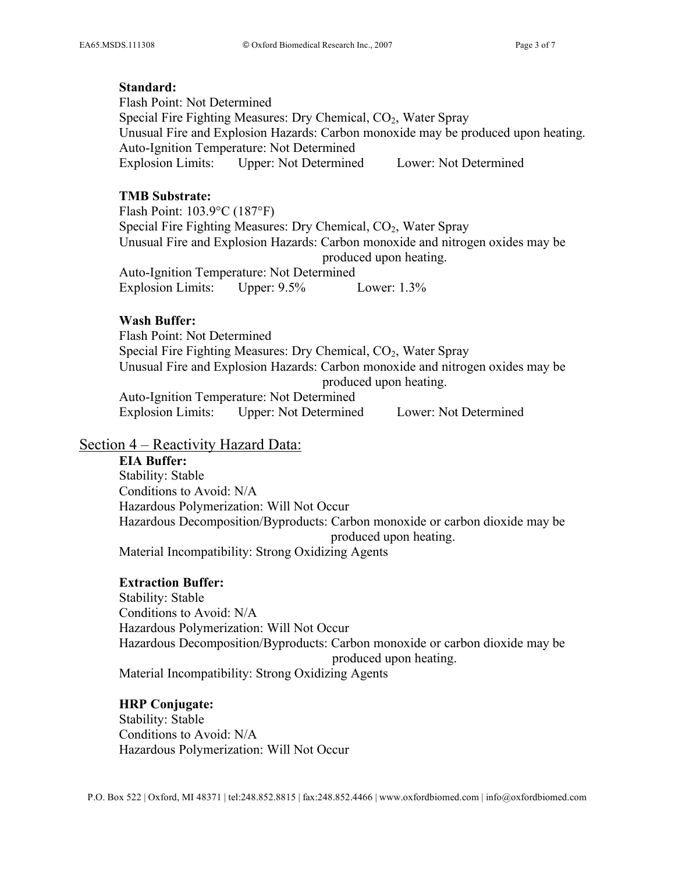#### **Standard:**

Flash Point: Not Determined Special Fire Fighting Measures: Dry Chemical, CO<sub>2</sub>, Water Spray Unusual Fire and Explosion Hazards: Carbon monoxide may be produced upon heating. Auto-Ignition Temperature: Not Determined Explosion Limits: Upper: Not Determined Lower: Not Determined

## **TMB Substrate:**

Flash Point: 103.9°C (187°F) Special Fire Fighting Measures: Dry Chemical, CO<sub>2</sub>, Water Spray Unusual Fire and Explosion Hazards: Carbon monoxide and nitrogen oxides may be produced upon heating. Auto-Ignition Temperature: Not Determined Explosion Limits: Upper: 9.5% Lower: 1.3%

## **Wash Buffer:**

Flash Point: Not Determined Special Fire Fighting Measures: Dry Chemical, CO<sub>2</sub>, Water Spray Unusual Fire and Explosion Hazards: Carbon monoxide and nitrogen oxides may be produced upon heating. Auto-Ignition Temperature: Not Determined Explosion Limits: Upper: Not Determined Lower: Not Determined

## Section 4 – Reactivity Hazard Data:

**EIA Buffer:** Stability: Stable Conditions to Avoid: N/A Hazardous Polymerization: Will Not Occur Hazardous Decomposition/Byproducts: Carbon monoxide or carbon dioxide may be produced upon heating. Material Incompatibility: Strong Oxidizing Agents

## **Extraction Buffer:**

Stability: Stable Conditions to Avoid: N/A Hazardous Polymerization: Will Not Occur Hazardous Decomposition/Byproducts: Carbon monoxide or carbon dioxide may be produced upon heating. Material Incompatibility: Strong Oxidizing Agents

## **HRP Conjugate:**

Stability: Stable Conditions to Avoid: N/A Hazardous Polymerization: Will Not Occur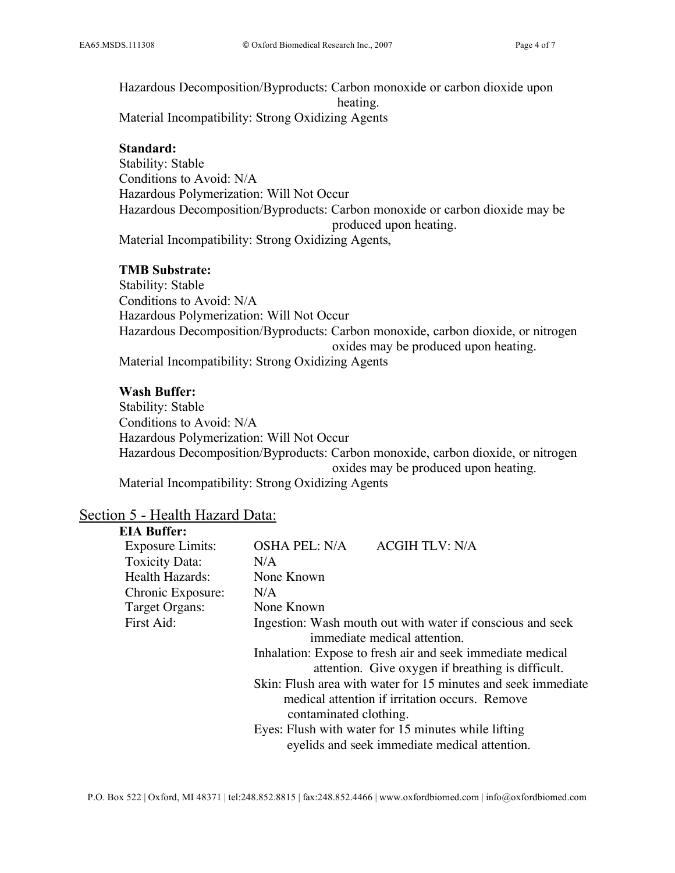Hazardous Decomposition/Byproducts: Carbon monoxide or carbon dioxide upon heating. Material Incompatibility: Strong Oxidizing Agents

#### **Standard:**

Stability: Stable Conditions to Avoid: N/A Hazardous Polymerization: Will Not Occur Hazardous Decomposition/Byproducts: Carbon monoxide or carbon dioxide may be produced upon heating. Material Incompatibility: Strong Oxidizing Agents,

#### **TMB Substrate:**

Stability: Stable Conditions to Avoid: N/A Hazardous Polymerization: Will Not Occur Hazardous Decomposition/Byproducts: Carbon monoxide, carbon dioxide, or nitrogen oxides may be produced upon heating. Material Incompatibility: Strong Oxidizing Agents

#### **Wash Buffer:**

Stability: Stable Conditions to Avoid: N/A Hazardous Polymerization: Will Not Occur Hazardous Decomposition/Byproducts: Carbon monoxide, carbon dioxide, or nitrogen oxides may be produced upon heating. Material Incompatibility: Strong Oxidizing Agents

#### Section 5 - Health Hazard Data:

#### **EIA Buffer:**

| <b>Exposure Limits:</b> | OSHA PEL: N/A                                                                                                                             | <b>ACGIH TLV: N/A</b>                                                                                           |
|-------------------------|-------------------------------------------------------------------------------------------------------------------------------------------|-----------------------------------------------------------------------------------------------------------------|
| <b>Toxicity Data:</b>   | N/A                                                                                                                                       |                                                                                                                 |
| Health Hazards:         | None Known                                                                                                                                |                                                                                                                 |
| Chronic Exposure:       | N/A                                                                                                                                       |                                                                                                                 |
| Target Organs:          | None Known                                                                                                                                |                                                                                                                 |
| First Aid:              | Ingestion: Wash mouth out with water if conscious and seek<br>immediate medical attention.                                                |                                                                                                                 |
|                         |                                                                                                                                           | Inhalation: Expose to fresh air and seek immediate medical<br>attention. Give oxygen if breathing is difficult. |
|                         | Skin: Flush area with water for 15 minutes and seek immediate<br>medical attention if irritation occurs. Remove<br>contaminated clothing. |                                                                                                                 |
|                         |                                                                                                                                           | Eyes: Flush with water for 15 minutes while lifting<br>eyelids and seek immediate medical attention.            |
|                         |                                                                                                                                           |                                                                                                                 |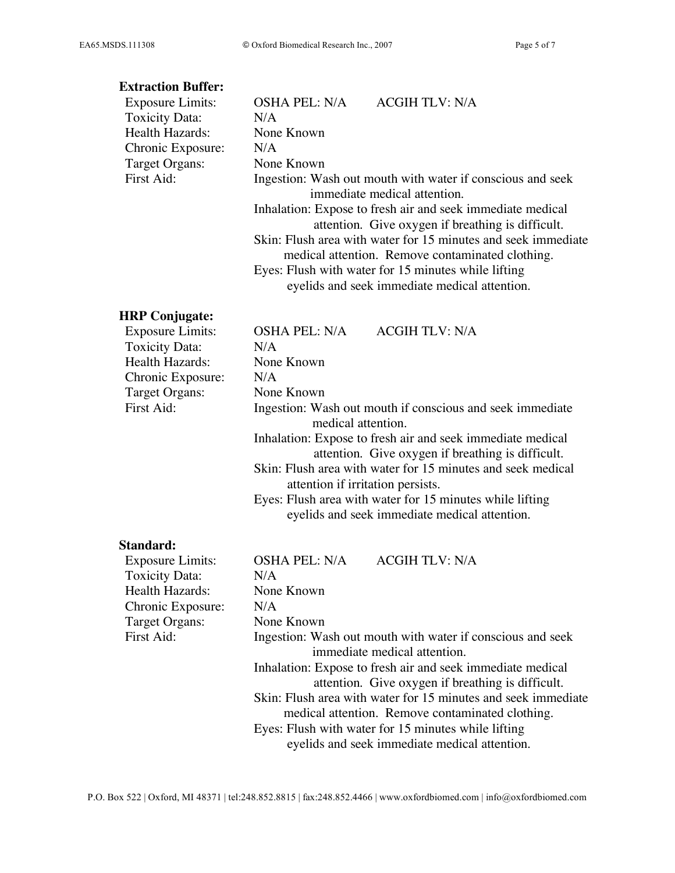## **Extraction Buffer:**

| <b>Exposure Limits:</b> | <b>ACGIH TLV: N/A</b><br>OSHA PEL: N/A                        |  |
|-------------------------|---------------------------------------------------------------|--|
| Toxicity Data:          | N/A                                                           |  |
| Health Hazards:         | None Known                                                    |  |
| Chronic Exposure:       | N/A                                                           |  |
| Target Organs:          | None Known                                                    |  |
| First Aid:              | Ingestion: Wash out mouth with water if conscious and seek    |  |
|                         | immediate medical attention.                                  |  |
|                         | Inhalation: Expose to fresh air and seek immediate medical    |  |
|                         | attention. Give oxygen if breathing is difficult.             |  |
|                         | Skin: Flush area with water for 15 minutes and seek immediate |  |
|                         | medical attention. Remove contaminated clothing.              |  |
|                         | Eyes: Flush with water for 15 minutes while lifting           |  |
|                         | eyelids and seek immediate medical attention.                 |  |

## **HRP Conjugate:**

| <b>Exposure Limits:</b> | OSHA PEL: N/A      | <b>ACGIH TLV: N/A</b>                                      |
|-------------------------|--------------------|------------------------------------------------------------|
| Toxicity Data:          | N/A                |                                                            |
| Health Hazards:         | None Known         |                                                            |
| Chronic Exposure:       | N/A                |                                                            |
| Target Organs:          | None Known         |                                                            |
| First Aid:              |                    | Ingestion: Wash out mouth if conscious and seek immediate  |
|                         | medical attention. |                                                            |
|                         |                    | Inhalation: Expose to fresh air and seek immediate medical |
|                         |                    | attention. Give oxygen if breathing is difficult.          |
|                         |                    |                                                            |

Skin: Flush area with water for 15 minutes and seek medical attention if irritation persists.

Eyes: Flush area with water for 15 minutes while lifting eyelids and seek immediate medical attention.

#### **Standard:**

| OSHA PEL: N/A                                              | <b>ACGIH TLV: N/A</b>                                         |
|------------------------------------------------------------|---------------------------------------------------------------|
| N/A                                                        |                                                               |
| None Known                                                 |                                                               |
| N/A                                                        |                                                               |
| None Known                                                 |                                                               |
| Ingestion: Wash out mouth with water if conscious and seek |                                                               |
|                                                            | immediate medical attention.                                  |
|                                                            | Inhalation: Expose to fresh air and seek immediate medical    |
|                                                            | attention. Give oxygen if breathing is difficult.             |
|                                                            | Skin: Flush area with water for 15 minutes and seek immediate |
|                                                            | medical attention. Remove contaminated clothing.              |
|                                                            | Eyes: Flush with water for 15 minutes while lifting           |
|                                                            | eyelids and seek immediate medical attention.                 |
|                                                            |                                                               |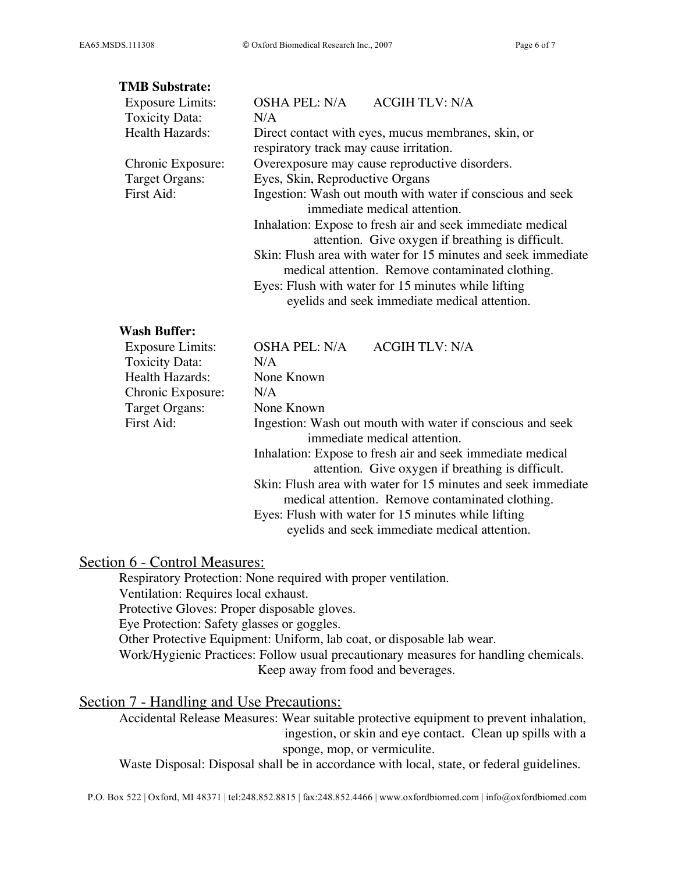#### **TMB Substrate:**

| <b>OSHA PEL: N/A</b><br><b>ACGIH TLV: N/A</b>                 |  |  |
|---------------------------------------------------------------|--|--|
| N/A                                                           |  |  |
| Direct contact with eyes, mucus membranes, skin, or           |  |  |
| respiratory track may cause irritation.                       |  |  |
| Overexposure may cause reproductive disorders.                |  |  |
| Eyes, Skin, Reproductive Organs                               |  |  |
| Ingestion: Wash out mouth with water if conscious and seek    |  |  |
| immediate medical attention.                                  |  |  |
| Inhalation: Expose to fresh air and seek immediate medical    |  |  |
| attention. Give oxygen if breathing is difficult.             |  |  |
| Skin: Flush area with water for 15 minutes and seek immediate |  |  |
| medical attention. Remove contaminated clothing.              |  |  |
| Eyes: Flush with water for 15 minutes while lifting           |  |  |
| eyelids and seek immediate medical attention.                 |  |  |
|                                                               |  |  |

#### **Wash Buffer:**

| <b>Exposure Limits:</b> | <b>OSHA PEL: N/A</b> | <b>ACGIH TLV: N/A</b>                                         |
|-------------------------|----------------------|---------------------------------------------------------------|
| Toxicity Data:          | N/A                  |                                                               |
| Health Hazards:         | None Known           |                                                               |
| Chronic Exposure:       | N/A                  |                                                               |
| Target Organs:          | None Known           |                                                               |
| First Aid:              |                      | Ingestion: Wash out mouth with water if conscious and seek    |
|                         |                      | immediate medical attention.                                  |
|                         |                      | Inhalation: Expose to fresh air and seek immediate medical    |
|                         |                      | attention. Give oxygen if breathing is difficult.             |
|                         |                      | Skin: Flush area with water for 15 minutes and seek immediate |
|                         |                      | medical attention. Remove contaminated clothing.              |
|                         |                      | Eyes: Flush with water for 15 minutes while lifting           |
|                         |                      | eyelids and seek immediate medical attention.                 |

## Section 6 - Control Measures:

Respiratory Protection: None required with proper ventilation. Ventilation: Requires local exhaust. Protective Gloves: Proper disposable gloves. Eye Protection: Safety glasses or goggles. Other Protective Equipment: Uniform, lab coat, or disposable lab wear. Work/Hygienic Practices: Follow usual precautionary measures for handling chemicals. Keep away from food and beverages.

## Section 7 - Handling and Use Precautions:

Accidental Release Measures: Wear suitable protective equipment to prevent inhalation, ingestion, or skin and eye contact. Clean up spills with a sponge, mop, or vermiculite.

Waste Disposal: Disposal shall be in accordance with local, state, or federal guidelines.